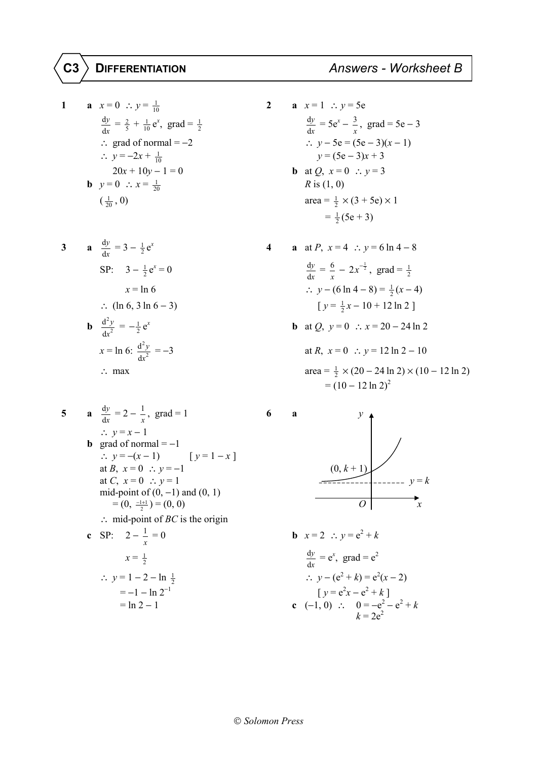## $|{\tt C3} \rangle$  DIFFERENTIATION

1 **a** 
$$
x = 0
$$
  $\therefore y = \frac{1}{10}$   
\n $\frac{dy}{dx} = \frac{2}{5} + \frac{1}{10}e^x$ , grad  $= \frac{1}{2}$   
\n $\therefore$  grad of normal  $= -2$   
\n $\therefore y = -2x + \frac{1}{10}$   
\n2 **a**  $x = 1$   $\therefore y = 5e$   
\n $\frac{dy}{dx} = 5e^x - \frac{3}{x}$ , grad  $= 5e - \frac{3}{x}$   
\n $\therefore y - 5e = (5e - 3)(x - 1)$   
\n $\therefore y - 5e = (5e - 3)(x - 1)$   
\n $\therefore y - 5e = (5e - 3)(x - 1)$   
\n $\therefore y - 5e = (5e - 3)(x - 1)$   
\n $\therefore y = (5e - 3)x + 3$   
\n**b** at Q,  $x = 0$   $\therefore y = 3$   
\nR is (1, 0)  
\n $(\frac{1}{20}, 0)$   
\n $\text{area} = \frac{1}{2} \times (3 + 5e) \times 1$ 

3 **a** 
$$
\frac{dy}{dx} = 3 - \frac{1}{2}e^x
$$
  
\n
$$
SP: 3 - \frac{1}{2}e^x = 0
$$
\n
$$
x = \ln 6
$$
\n
$$
\therefore (\ln 6, 3 \ln 6 - 3)
$$
\n
$$
a = \ln 2
$$
\n
$$
b = \frac{d^2y}{dx^2} = -\frac{1}{2}e^x
$$
\n
$$
x = \ln 6
$$
\n
$$
\therefore y - (6 \ln 4 - 8) = \frac{1}{2}
$$
\n
$$
[y = \frac{1}{2}x - 10 + 12]
$$
\n
$$
b = \ln 6
$$
\n
$$
x = \ln 2
$$
\n
$$
x = \ln 2
$$
\n
$$
x = \ln 2
$$
\n
$$
x = \ln 6
$$
\n
$$
\frac{d^2y}{dx^2} = -3
$$
\n
$$
x = \ln 2
$$
\n
$$
x = \ln 2
$$
\n
$$
y = 0 \therefore y = 12
$$
\n
$$
y = 2
$$
\n
$$
y = 0 \therefore y = 12
$$

1 **a** 
$$
x = 0
$$
  $\therefore y = \frac{1}{10}$   
\n $\frac{dy}{dx} = \frac{2}{5} + \frac{1}{10}e^x$ , grad  $= \frac{1}{2}$   
\n $\therefore$  grad of normal  $= -2$   
\n $\therefore y = -2x + \frac{1}{10}$   
\n**b**  $y = 0$   $\therefore x = \frac{1}{20}$   
\n**c**  $y = 0$   $\therefore x = \frac{1}{20}$   
\n**d**  $y = 5e^x - \frac{3}{x}$ , grad  $= 5e - 3$   
\n $\therefore y - 5e = (5e - 3)(x - 1)$   
\n $y = (5e - 3)x + 3$   
\n**b** at *Q*,  $x = 0$   $\therefore y = 3$   
\n $R$  is (1, 0)  
\n $\frac{1}{20}$ , 0)  
\n $\frac{1}{2}(5e + 3)$ 

4 **a** at *P*, 
$$
x = 4
$$
  $\therefore y = 6 \ln 4 - 8$   
\n $\frac{1}{2}e^{x} = 0$   
\n $\frac{dy}{dx} = \frac{6}{x} - 2x^{-\frac{1}{2}}$ , grad  $= \frac{1}{2}$   
\n $\therefore y - (6 \ln 4 - 8) = \frac{1}{2}(x - 4)$   
\n $\left[ y = \frac{1}{2}x - 10 + 12 \ln 2 \right]$   
\n**b** at *Q*,  $y = 0$   $\therefore x = 20 - 24 \ln 2$   
\nat *R*,  $x = 0$   $\therefore y = 12 \ln 2 - 10$   
\n $\text{area} = \frac{1}{2} \times (20 - 24 \ln 2) \times (10 - 12 \ln 2)$   
\n $= (10 - 12 \ln 2)^{2}$ 

5 **a** 
$$
\frac{dy}{dx} = 2 - \frac{1}{x}
$$
, grad = 1  
\n $\therefore y = x - 1$   
\n**b** grad of normal = -1  
\n $\therefore y = -(x - 1)$  [ $y = 1 - x$ ]  
\nat *B*,  $x = 0 \therefore y = -1$   
\nat *C*,  $x = 0 \therefore y = 1$   
\nmid-point of  $(0, -1)$  and  $(0, 1)$   
\n $= (0, \frac{-1+1}{2}) = (0, 0)$   
\n $\therefore$  mid-point of *BC* is the origin  
\n**c** SP:  $2 - \frac{1}{x} = 0$   
\n $x = \frac{1}{2}$   
\n $\therefore y = 1 - 2 - \ln \frac{1}{2}$   
\n $= -1 - \ln 2^{-1}$   
\n $= \ln 2 - 1$   
\n**d**  $y = e^x$ , grad =  $e^2$   
\n $\therefore y - (e^2 + k) = e^2(x - 2)$   
\n[ $y = e^2x - e^2 + k$ ]  
\n**e**  $(-1, 0) \therefore 0 = -e^2 - e^2 + k$ 

$$
\frac{1}{x}
$$
, grad = 1  
\n-1  
\n
$$
x-1
$$
) [y=1-x]  
\n0 : y = -1  
\n0 : y = 1  
\n0 : y = 1  
\n1 - 0  
\n  
\n
$$
y = 1 - x
$$
]  
\n
$$
y = k
$$
  
\n
$$
y = k
$$
  
\n
$$
y = k
$$
  
\n
$$
y = k
$$
  
\n
$$
y = k
$$
  
\n
$$
y = k
$$
  
\n
$$
y = k
$$
  
\n
$$
y = k
$$
  
\n
$$
y = k
$$
  
\n
$$
y = k
$$
  
\n
$$
y = k
$$
  
\n
$$
y = k
$$
  
\n
$$
y = k
$$
  
\n
$$
y = k
$$
  
\n
$$
y = k
$$
  
\n
$$
y = k
$$
  
\n
$$
y = k
$$
  
\n
$$
y = k
$$
  
\n
$$
y = k
$$
  
\n
$$
y = k
$$
  
\n
$$
y = k
$$
  
\n
$$
y = k
$$
  
\n
$$
y = k
$$
  
\n
$$
y = k
$$
  
\n
$$
y = k
$$

$$
x = \frac{1}{2}
$$
  
\n
$$
\therefore y = 1 - 2 - \ln \frac{1}{2}
$$
  
\n
$$
= -1 - \ln 2^{-1}
$$
  
\n
$$
= \ln 2 - 1
$$
  
\n
$$
x = \frac{1}{2}
$$
  
\n
$$
\frac{dy}{dx} = e^{x}, \text{ grad} = e^{2}
$$
  
\n
$$
\therefore y - (e^{2} + k) = e^{2}(x - 2)
$$
  
\n
$$
[y = e^{2}x - e^{2} + k]
$$
  
\n
$$
c (-1, 0) \therefore 0 = -e^{2} - e^{2} + k
$$
  
\n
$$
k = 2e^{2}
$$